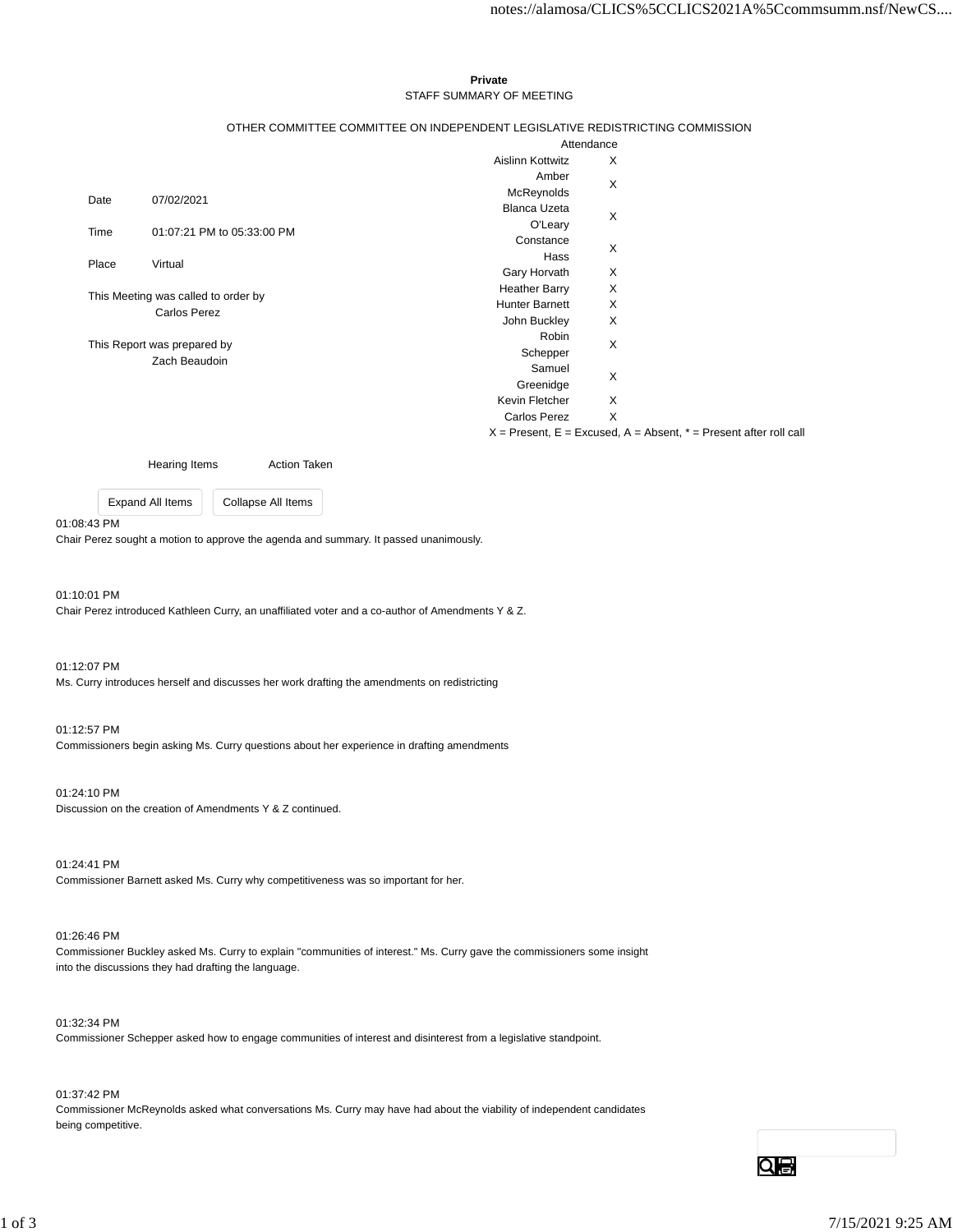### **Private** STAFF SUMMARY OF MEETING

## OTHER COMMITTEE COMMITTEE ON INDEPENDENT LEGISLATIVE REDISTRICTING COMMISSION

|                                                            |                            | Attendance            |   |  |
|------------------------------------------------------------|----------------------------|-----------------------|---|--|
|                                                            |                            | Aislinn Kottwitz      | X |  |
|                                                            |                            | Amber                 | X |  |
| Date                                                       | 07/02/2021                 | McReynolds            |   |  |
|                                                            |                            | <b>Blanca Uzeta</b>   | X |  |
| Time                                                       | 01:07:21 PM to 05:33:00 PM | O'Leary               |   |  |
|                                                            |                            | Constance             | X |  |
| Place                                                      | Virtual                    | Hass                  |   |  |
|                                                            |                            | Gary Horvath          | X |  |
| This Meeting was called to order by<br><b>Carlos Perez</b> |                            | <b>Heather Barry</b>  | X |  |
|                                                            |                            | <b>Hunter Barnett</b> | X |  |
|                                                            |                            | John Buckley          | X |  |
| This Report was prepared by<br>Zach Beaudoin               |                            | Robin                 | X |  |
|                                                            |                            | Schepper              |   |  |
|                                                            |                            | Samuel                | X |  |
|                                                            |                            | Greenidge             |   |  |
|                                                            |                            | Kevin Fletcher        | X |  |
|                                                            |                            | Carlos Perez          | X |  |
|                                                            |                            |                       |   |  |

 $X =$  Present,  $E =$  Excused,  $A =$  Absent,  $* =$  Present after roll call

Hearing Items **Action Taken** 

Expand All Items Collapse All Items

#### 01:08:43 PM

Chair Perez sought a motion to approve the agenda and summary. It passed unanimously.

### 01:10:01 PM

Chair Perez introduced Kathleen Curry, an unaffiliated voter and a co-author of Amendments Y & Z.

01:12:07 PM Ms. Curry introduces herself and discusses her work drafting the amendments on redistricting

#### 01:12:57 PM

Commissioners begin asking Ms. Curry questions about her experience in drafting amendments

#### 01:24:10 PM

Discussion on the creation of Amendments Y & Z continued.

01:24:41 PM

Commissioner Barnett asked Ms. Curry why competitiveness was so important for her.

### 01:26:46 PM

Commissioner Buckley asked Ms. Curry to explain "communities of interest." Ms. Curry gave the commissioners some insight into the discussions they had drafting the language.

### 01:32:34 PM

Commissioner Schepper asked how to engage communities of interest and disinterest from a legislative standpoint.

# 01:37:42 PM

Commissioner McReynolds asked what conversations Ms. Curry may have had about the viability of independent candidates being competitive.

Qe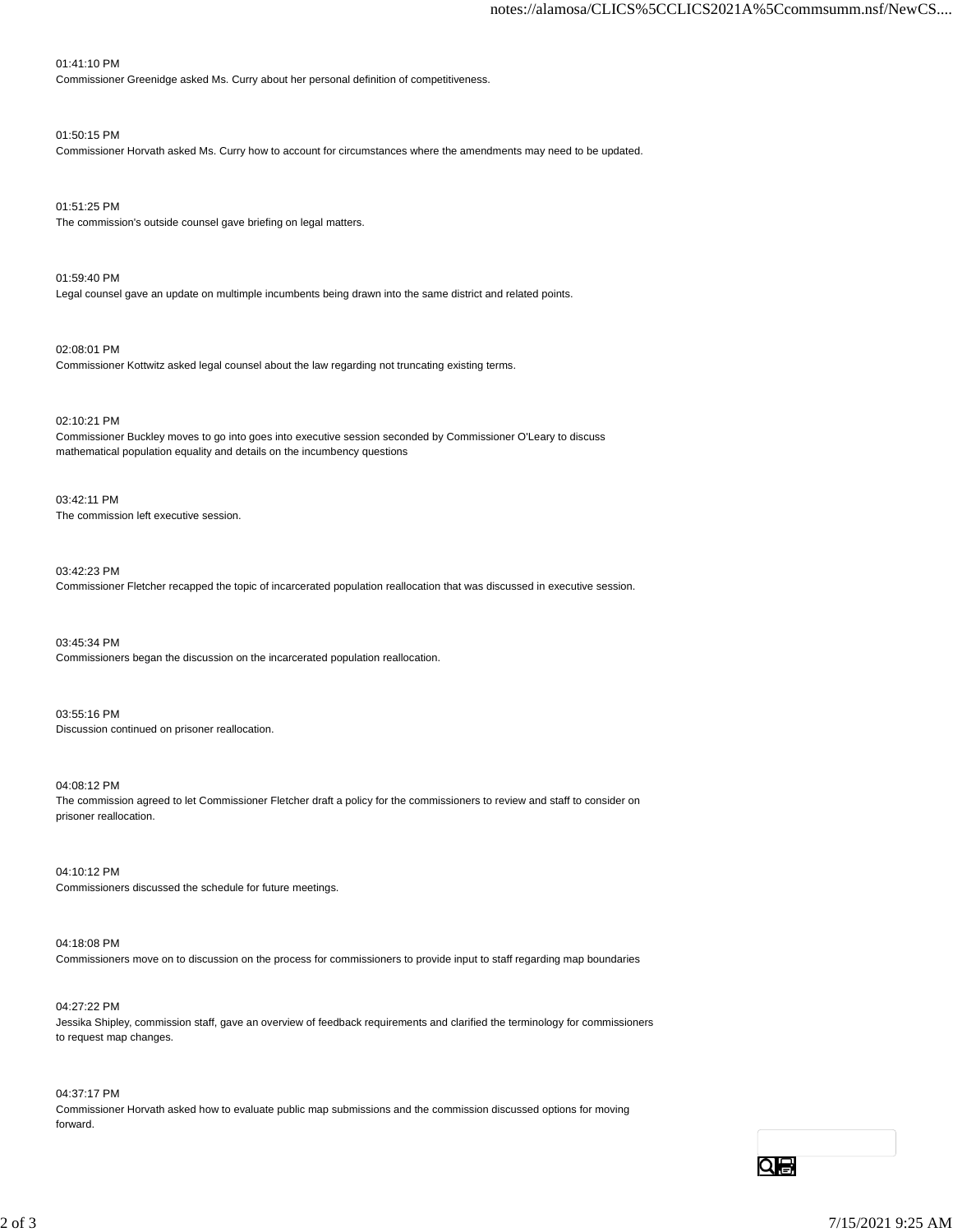# 01:41:10 PM

Commissioner Greenidge asked Ms. Curry about her personal definition of competitiveness.

# 01:50:15 PM

Commissioner Horvath asked Ms. Curry how to account for circumstances where the amendments may need to be updated.

01:51:25 PM The commission's outside counsel gave briefing on legal matters.

01:59:40 PM Legal counsel gave an update on multimple incumbents being drawn into the same district and related points.

02:08:01 PM Commissioner Kottwitz asked legal counsel about the law regarding not truncating existing terms.

02:10:21 PM

Commissioner Buckley moves to go into goes into executive session seconded by Commissioner O'Leary to discuss mathematical population equality and details on the incumbency questions

03:42:11 PM The commission left executive session.

03:42:23 PM Commissioner Fletcher recapped the topic of incarcerated population reallocation that was discussed in executive session.

03:45:34 PM Commissioners began the discussion on the incarcerated population reallocation.

03:55:16 PM Discussion continued on prisoner reallocation.

04:08:12 PM The commission agreed to let Commissioner Fletcher draft a policy for the commissioners to review and staff to consider on prisoner reallocation.

04:10:12 PM Commissioners discussed the schedule for future meetings.

04:18:08 PM Commissioners move on to discussion on the process for commissioners to provide input to staff regarding map boundaries

04:27:22 PM Jessika Shipley, commission staff, gave an overview of feedback requirements and clarified the terminology for commissioners to request map changes.

04:37:17 PM Commissioner Horvath asked how to evaluate public map submissions and the commission discussed options for moving forward.

Qe